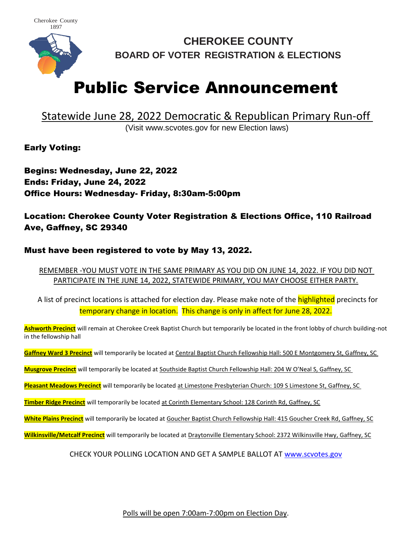

**CHEROKEE COUNTY BOARD OF VOTER REGISTRATION & ELECTIONS**

## Public Service Announcement

## Statewide June 28, 2022 Democratic & Republican Primary Run-off (Visit www.scvotes.gov for new Election laws)

Early Voting:

Begins: Wednesday, June 22, 2022 Ends: Friday, June 24, 2022 Office Hours: Wednesday- Friday, 8:30am-5:00pm

Location: Cherokee County Voter Registration & Elections Office, 110 Railroad Ave, Gaffney, SC 29340

## Must have been registered to vote by May 13, 2022.

REMEMBER -YOU MUST VOTE IN THE SAME PRIMARY AS YOU DID ON JUNE 14, 2022. IF YOU DID NOT PARTICIPATE IN THE JUNE 14, 2022, STATEWIDE PRIMARY, YOU MAY CHOOSE EITHER PARTY.

A list of precinct locations is attached for election day. Please make note of the **highlighted** precincts for temporary change in location. This change is only in affect for June 28, 2022.

**Ashworth Precinct** will remain at Cherokee Creek Baptist Church but temporarily be located in the front lobby of church building-not in the fellowship hall

**Gaffney Ward 3 Precinct** will temporarily be located at Central Baptist Church Fellowship Hall: 500 E Montgomery St, Gaffney, SC

**Musgrove Precinct** will temporarily be located at Southside Baptist Church Fellowship Hall: 204 W O'Neal S, Gaffney, SC

**Pleasant Meadows Precinct** will temporarily be located at Limestone Presbyterian Church: 109 S Limestone St, Gaffney, SC

**Timber Ridge Precinct** will temporarily be located at Corinth Elementary School: 128 Corinth Rd, Gaffney, SC

**White Plains Precinct** will temporarily be located at Goucher Baptist Church Fellowship Hall: 415 Goucher Creek Rd, Gaffney, SC

**Wilkinsville/Metcalf Precinct** will temporarily be located at Draytonville Elementary School: 2372 Wilkinsville Hwy, Gaffney, SC

CHECK YOUR POLLING LOCATION AND GET A SAMPLE BALLOT AT [www.scvotes.gov](http://www.scvotes.gov/)

Polls will be open 7:00am-7:00pm on Election Day.